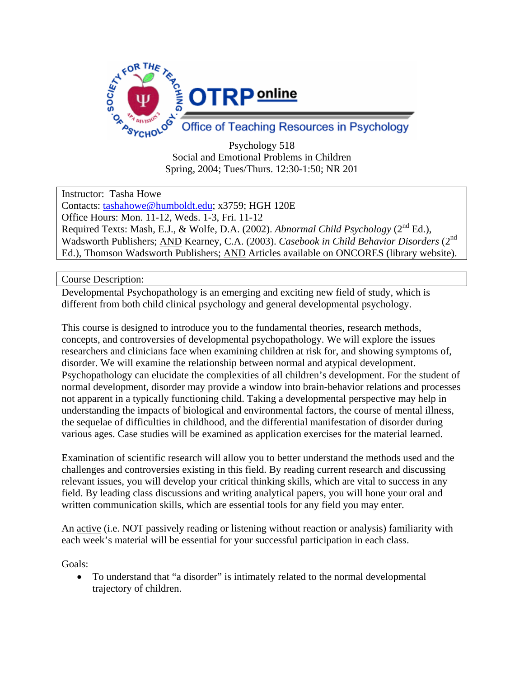

Psychology 518 Social and Emotional Problems in Children Spring, 2004; Tues/Thurs. 12:30-1:50; NR 201

Instructor: Tasha Howe

Contacts: tashahowe@humboldt.edu; x3759; HGH 120E Office Hours: Mon. 11-12, Weds. 1-3, Fri. 11-12

Required Texts: Mash, E.J., & Wolfe, D.A. (2002). *Abnormal Child Psychology* (2nd Ed.), Wadsworth Publishers; AND Kearney, C.A. (2003). *Casebook in Child Behavior Disorders* (2nd Ed.), Thomson Wadsworth Publishers; AND Articles available on ONCORES (library website).

Course Description:

Developmental Psychopathology is an emerging and exciting new field of study, which is different from both child clinical psychology and general developmental psychology.

This course is designed to introduce you to the fundamental theories, research methods, concepts, and controversies of developmental psychopathology. We will explore the issues researchers and clinicians face when examining children at risk for, and showing symptoms of, disorder. We will examine the relationship between normal and atypical development. Psychopathology can elucidate the complexities of all children's development. For the student of normal development, disorder may provide a window into brain-behavior relations and processes not apparent in a typically functioning child. Taking a developmental perspective may help in understanding the impacts of biological and environmental factors, the course of mental illness, the sequelae of difficulties in childhood, and the differential manifestation of disorder during various ages. Case studies will be examined as application exercises for the material learned.

Examination of scientific research will allow you to better understand the methods used and the challenges and controversies existing in this field. By reading current research and discussing relevant issues, you will develop your critical thinking skills, which are vital to success in any field. By leading class discussions and writing analytical papers, you will hone your oral and written communication skills, which are essential tools for any field you may enter.

An active (i.e. NOT passively reading or listening without reaction or analysis) familiarity with each week's material will be essential for your successful participation in each class.

Goals:

• To understand that "a disorder" is intimately related to the normal developmental trajectory of children.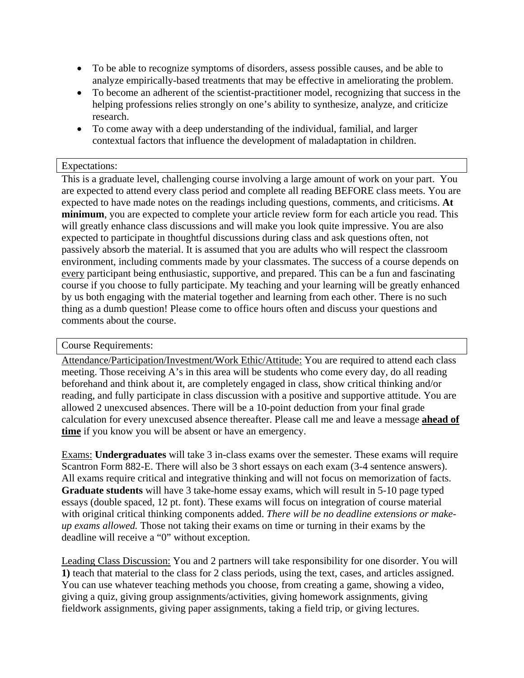- To be able to recognize symptoms of disorders, assess possible causes, and be able to analyze empirically-based treatments that may be effective in ameliorating the problem.
- To become an adherent of the scientist-practitioner model, recognizing that success in the helping professions relies strongly on one's ability to synthesize, analyze, and criticize research.
- To come away with a deep understanding of the individual, familial, and larger contextual factors that influence the development of maladaptation in children.

## Expectations:

This is a graduate level, challenging course involving a large amount of work on your part. You are expected to attend every class period and complete all reading BEFORE class meets. You are expected to have made notes on the readings including questions, comments, and criticisms. **At minimum**, you are expected to complete your article review form for each article you read. This will greatly enhance class discussions and will make you look quite impressive. You are also expected to participate in thoughtful discussions during class and ask questions often, not passively absorb the material. It is assumed that you are adults who will respect the classroom environment, including comments made by your classmates. The success of a course depends on every participant being enthusiastic, supportive, and prepared. This can be a fun and fascinating course if you choose to fully participate. My teaching and your learning will be greatly enhanced by us both engaging with the material together and learning from each other. There is no such thing as a dumb question! Please come to office hours often and discuss your questions and comments about the course.

## Course Requirements:

Attendance/Participation/Investment/Work Ethic/Attitude: You are required to attend each class meeting. Those receiving A's in this area will be students who come every day, do all reading beforehand and think about it, are completely engaged in class, show critical thinking and/or reading, and fully participate in class discussion with a positive and supportive attitude. You are allowed 2 unexcused absences. There will be a 10-point deduction from your final grade calculation for every unexcused absence thereafter. Please call me and leave a message **ahead of time** if you know you will be absent or have an emergency.

Exams: **Undergraduates** will take 3 in-class exams over the semester. These exams will require Scantron Form 882-E. There will also be 3 short essays on each exam (3-4 sentence answers). All exams require critical and integrative thinking and will not focus on memorization of facts. **Graduate students** will have 3 take-home essay exams, which will result in 5-10 page typed essays (double spaced, 12 pt. font). These exams will focus on integration of course material with original critical thinking components added. *There will be no deadline extensions or makeup exams allowed.* Those not taking their exams on time or turning in their exams by the deadline will receive a "0" without exception.

Leading Class Discussion: You and 2 partners will take responsibility for one disorder. You will **1)** teach that material to the class for 2 class periods, using the text, cases, and articles assigned. You can use whatever teaching methods you choose, from creating a game, showing a video, giving a quiz, giving group assignments/activities, giving homework assignments, giving fieldwork assignments, giving paper assignments, taking a field trip, or giving lectures.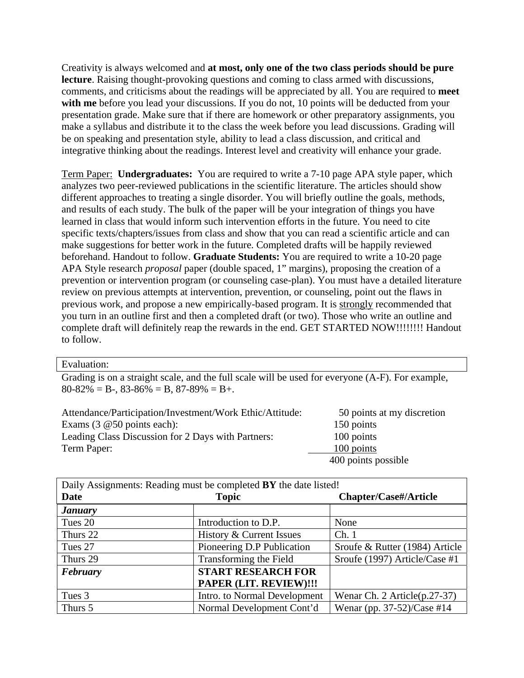Creativity is always welcomed and **at most, only one of the two class periods should be pure lecture**. Raising thought-provoking questions and coming to class armed with discussions, comments, and criticisms about the readings will be appreciated by all. You are required to **meet**  with me before you lead your discussions. If you do not, 10 points will be deducted from your presentation grade. Make sure that if there are homework or other preparatory assignments, you make a syllabus and distribute it to the class the week before you lead discussions. Grading will be on speaking and presentation style, ability to lead a class discussion, and critical and integrative thinking about the readings. Interest level and creativity will enhance your grade.

Term Paper: **Undergraduates:** You are required to write a 7-10 page APA style paper, which analyzes two peer-reviewed publications in the scientific literature. The articles should show different approaches to treating a single disorder. You will briefly outline the goals, methods, and results of each study. The bulk of the paper will be your integration of things you have learned in class that would inform such intervention efforts in the future. You need to cite specific texts/chapters/issues from class and show that you can read a scientific article and can make suggestions for better work in the future. Completed drafts will be happily reviewed beforehand. Handout to follow. **Graduate Students:** You are required to write a 10-20 page APA Style research *proposal* paper (double spaced, 1" margins), proposing the creation of a prevention or intervention program (or counseling case-plan). You must have a detailed literature review on previous attempts at intervention, prevention, or counseling, point out the flaws in previous work, and propose a new empirically-based program. It is strongly recommended that you turn in an outline first and then a completed draft (or two). Those who write an outline and complete draft will definitely reap the rewards in the end. GET STARTED NOW!!!!!!!! Handout to follow.

## Evaluation:

Grading is on a straight scale, and the full scale will be used for everyone (A-F). For example,  $80-82\% = B-.83-86\% = B.87-89\% = B+.$ 

| Attendance/Participation/Investment/Work Ethic/Attitude: | 50 points at my discretion |
|----------------------------------------------------------|----------------------------|
| Exams $(3 \t@ 50$ points each):                          | 150 points                 |
| Leading Class Discussion for 2 Days with Partners:       | 100 points                 |
| Term Paper:                                              | 100 points                 |
|                                                          | 400 points possible        |

| Daily Assignments: Reading must be completed BY the date listed! |                              |                                 |  |
|------------------------------------------------------------------|------------------------------|---------------------------------|--|
| <b>Date</b>                                                      | <b>Topic</b>                 | <b>Chapter/Case#/Article</b>    |  |
| <b>January</b>                                                   |                              |                                 |  |
| Tues 20                                                          | Introduction to D.P.         | None                            |  |
| Thurs 22                                                         | History & Current Issues     | Ch.1                            |  |
| Tues 27                                                          | Pioneering D.P Publication   | Sroufe & Rutter (1984) Article  |  |
| Thurs 29                                                         | Transforming the Field       | Sroufe (1997) Article/Case #1   |  |
| February                                                         | <b>START RESEARCH FOR</b>    |                                 |  |
|                                                                  | PAPER (LIT. REVIEW)!!!       |                                 |  |
| Tues 3                                                           | Intro. to Normal Development | Wenar Ch. 2 Article $(p.27-37)$ |  |
| Thurs 5                                                          | Normal Development Cont'd    | Wenar (pp. 37-52)/Case #14      |  |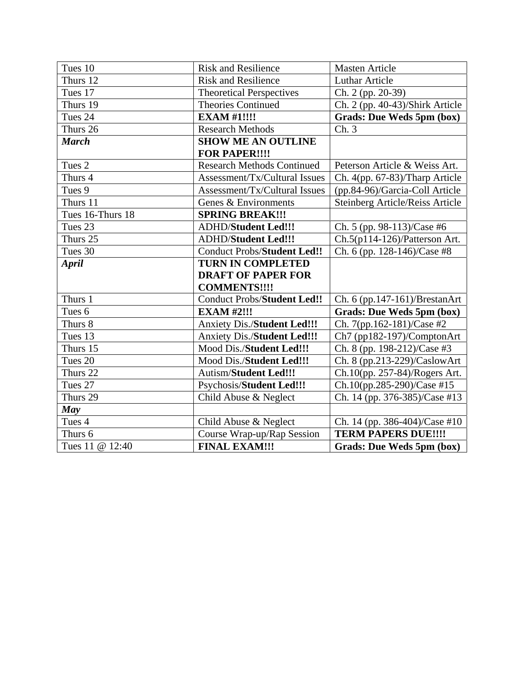| Tues 10          | <b>Risk and Resilience</b>         | <b>Masten Article</b>                  |
|------------------|------------------------------------|----------------------------------------|
| Thurs 12         | <b>Risk and Resilience</b>         | <b>Luthar Article</b>                  |
| Tues 17          | <b>Theoretical Perspectives</b>    | Ch. 2 (pp. 20-39)                      |
| Thurs 19         | <b>Theories Continued</b>          | Ch. 2 (pp. 40-43)/Shirk Article        |
| Tues 24          | <b>EXAM #1!!!!</b>                 | <b>Grads: Due Weds 5pm (box)</b>       |
| Thurs 26         | <b>Research Methods</b>            | Ch.3                                   |
| <b>March</b>     | <b>SHOW ME AN OUTLINE</b>          |                                        |
|                  | <b>FOR PAPER!!!!</b>               |                                        |
| Tues 2           | <b>Research Methods Continued</b>  | Peterson Article & Weiss Art.          |
| Thurs 4          | Assessment/Tx/Cultural Issues      | Ch. $4(pp. 67-83)/Tharp$ Article       |
| Tues 9           | Assessment/Tx/Cultural Issues      | (pp.84-96)/Garcia-Coll Article         |
| Thurs 11         | Genes & Environments               | <b>Steinberg Article/Reiss Article</b> |
| Tues 16-Thurs 18 | <b>SPRING BREAK!!!</b>             |                                        |
| Tues 23          | <b>ADHD/Student Led!!!</b>         | Ch. 5 (pp. 98-113)/Case #6             |
| Thurs 25         | <b>ADHD/Student Led!!!</b>         | Ch.5(p114-126)/Patterson Art.          |
| Tues 30          | <b>Conduct Probs/Student Led!!</b> | Ch. 6 (pp. 128-146)/Case #8            |
|                  |                                    |                                        |
| <b>April</b>     | <b>TURN IN COMPLETED</b>           |                                        |
|                  | <b>DRAFT OF PAPER FOR</b>          |                                        |
|                  | <b>COMMENTS!!!!</b>                |                                        |
| Thurs 1          | <b>Conduct Probs/Student Led!!</b> | Ch. 6 (pp.147-161)/BrestanArt          |
| Tues 6           | <b>EXAM #2!!!</b>                  | <b>Grads: Due Weds 5pm (box)</b>       |
| Thurs 8          | <b>Anxiety Dis./Student Led!!!</b> | Ch. 7(pp.162-181)/Case #2              |
| Tues 13          | <b>Anxiety Dis./Student Led!!!</b> | Ch7 (pp182-197)/ComptonArt             |
| Thurs 15         | Mood Dis./Student Led!!!           | Ch. 8 (pp. 198-212)/Case #3            |
| Tues 20          | Mood Dis./Student Led!!!           | Ch. 8 (pp.213-229)/CaslowArt           |
| Thurs 22         | <b>Autism/Student Led!!!</b>       | Ch.10(pp. 257-84)/Rogers Art.          |
| Tues 27          | Psychosis/Student Led!!!           | Ch.10(pp.285-290)/Case #15             |
| Thurs 29         | Child Abuse & Neglect              | Ch. 14 (pp. 376-385)/Case #13          |
| May              |                                    |                                        |
| Tues 4           | Child Abuse & Neglect              | Ch. 14 (pp. 386-404)/Case #10          |
| Thurs 6          | Course Wrap-up/Rap Session         | <b>TERM PAPERS DUE!!!!</b>             |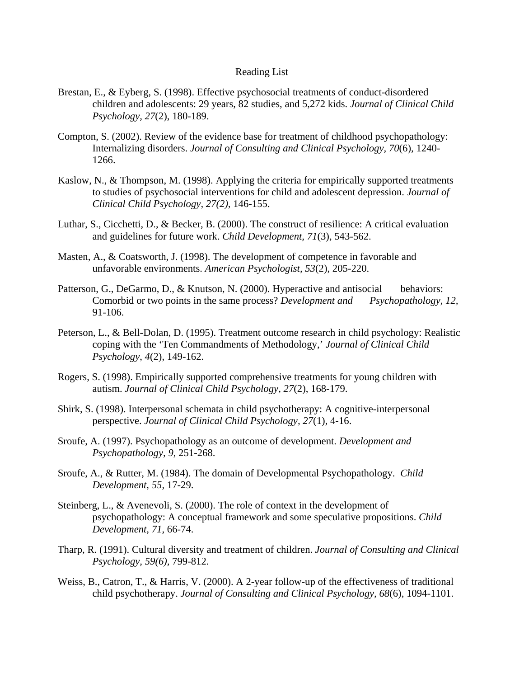## Reading List

- Brestan, E., & Eyberg, S. (1998). Effective psychosocial treatments of conduct-disordered children and adolescents: 29 years, 82 studies, and 5,272 kids. *Journal of Clinical Child Psychology, 27*(2), 180-189.
- Compton, S. (2002). Review of the evidence base for treatment of childhood psychopathology: Internalizing disorders. *Journal of Consulting and Clinical Psychology, 70*(6)*,* 1240- 1266.
- Kaslow, N., & Thompson, M. (1998). Applying the criteria for empirically supported treatments to studies of psychosocial interventions for child and adolescent depression. *Journal of Clinical Child Psychology, 27(2),* 146-155.
- Luthar, S., Cicchetti, D., & Becker, B. (2000). The construct of resilience: A critical evaluation and guidelines for future work. *Child Development, 71*(3), 543-562.
- Masten, A., & Coatsworth, J. (1998). The development of competence in favorable and unfavorable environments. *American Psychologist, 53*(2), 205-220.
- Patterson, G., DeGarmo, D., & Knutson, N. (2000). Hyperactive and antisocial behaviors: Comorbid or two points in the same process? *Development and Psychopathology, 12,* 91-106.
- Peterson, L., & Bell-Dolan, D. (1995). Treatment outcome research in child psychology: Realistic coping with the 'Ten Commandments of Methodology,' *Journal of Clinical Child Psychology*, *4*(2), 149-162.
- Rogers, S. (1998). Empirically supported comprehensive treatments for young children with autism. *Journal of Clinical Child Psychology, 27*(2), 168-179.
- Shirk, S. (1998). Interpersonal schemata in child psychotherapy: A cognitive-interpersonal perspective. *Journal of Clinical Child Psychology, 27*(1)*,* 4-16.
- Sroufe, A. (1997). Psychopathology as an outcome of development. *Development and Psychopathology, 9,* 251-268.
- Sroufe, A., & Rutter, M. (1984). The domain of Developmental Psychopathology. *Child Development, 55,* 17-29.
- Steinberg, L., & Avenevoli, S. (2000). The role of context in the development of psychopathology: A conceptual framework and some speculative propositions. *Child Development, 71,* 66-74.
- Tharp, R. (1991). Cultural diversity and treatment of children. *Journal of Consulting and Clinical Psychology, 59(6),* 799-812.
- Weiss, B., Catron, T., & Harris, V. (2000). A 2-year follow-up of the effectiveness of traditional child psychotherapy. *Journal of Consulting and Clinical Psychology, 68*(6), 1094-1101.